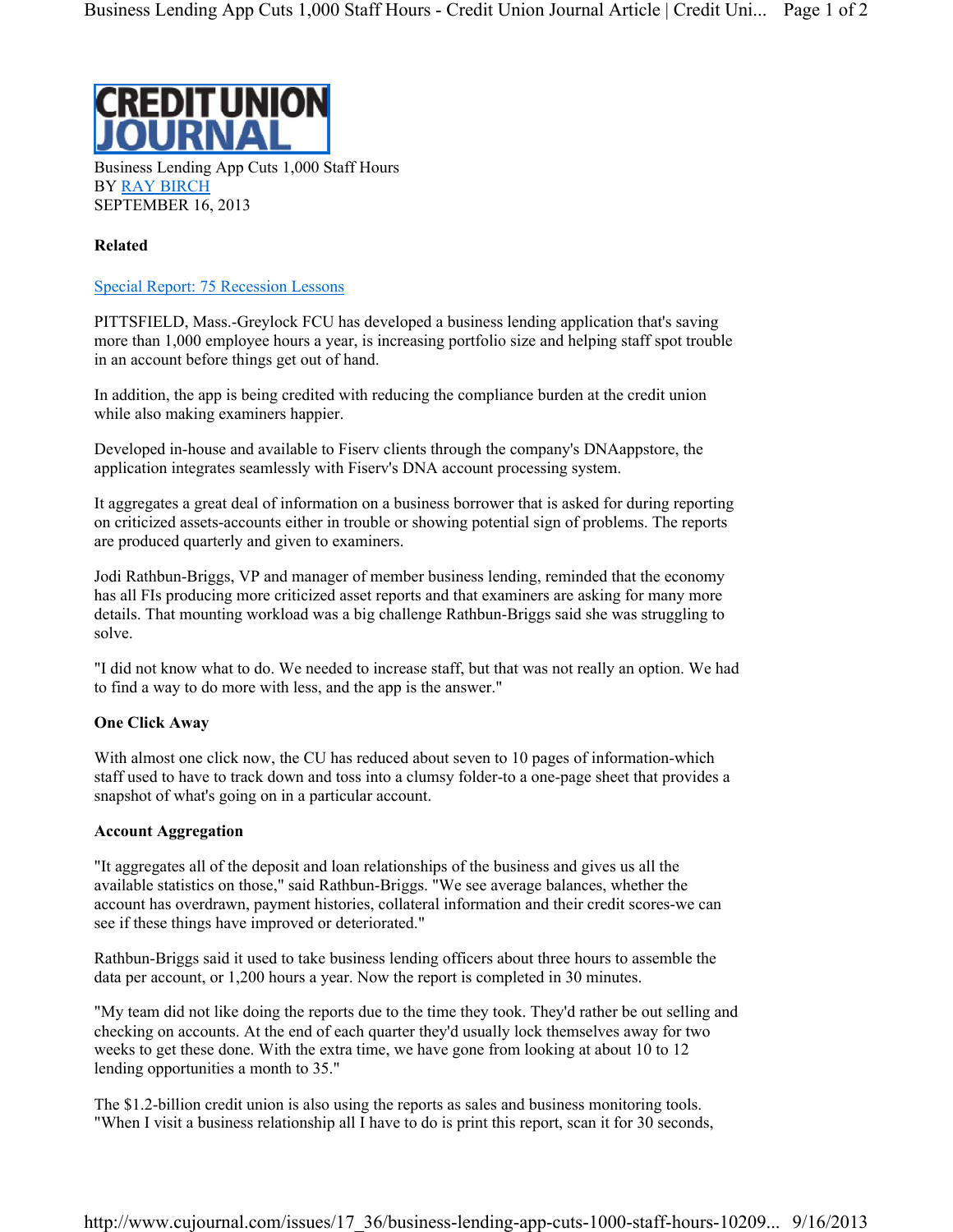

Business Lending App Cuts 1,000 Staff Hours BY RAY BIRCH SEPTEMBER 16, 2013

## **Related**

## Special Report: 75 Recession Lessons

PITTSFIELD, Mass.-Greylock FCU has developed a business lending application that's saving more than 1,000 employee hours a year, is increasing portfolio size and helping staff spot trouble in an account before things get out of hand.

In addition, the app is being credited with reducing the compliance burden at the credit union while also making examiners happier.

Developed in-house and available to Fiserv clients through the company's DNAappstore, the application integrates seamlessly with Fiserv's DNA account processing system.

It aggregates a great deal of information on a business borrower that is asked for during reporting on criticized assets-accounts either in trouble or showing potential sign of problems. The reports are produced quarterly and given to examiners.

Jodi Rathbun-Briggs, VP and manager of member business lending, reminded that the economy has all FIs producing more criticized asset reports and that examiners are asking for many more details. That mounting workload was a big challenge Rathbun-Briggs said she was struggling to solve.

"I did not know what to do. We needed to increase staff, but that was not really an option. We had to find a way to do more with less, and the app is the answer."

## **One Click Away**

With almost one click now, the CU has reduced about seven to 10 pages of information-which staff used to have to track down and toss into a clumsy folder-to a one-page sheet that provides a snapshot of what's going on in a particular account.

## **Account Aggregation**

"It aggregates all of the deposit and loan relationships of the business and gives us all the available statistics on those," said Rathbun-Briggs. "We see average balances, whether the account has overdrawn, payment histories, collateral information and their credit scores-we can see if these things have improved or deteriorated."

Rathbun-Briggs said it used to take business lending officers about three hours to assemble the data per account, or 1,200 hours a year. Now the report is completed in 30 minutes.

"My team did not like doing the reports due to the time they took. They'd rather be out selling and checking on accounts. At the end of each quarter they'd usually lock themselves away for two weeks to get these done. With the extra time, we have gone from looking at about 10 to 12 lending opportunities a month to 35."

The \$1.2-billion credit union is also using the reports as sales and business monitoring tools. "When I visit a business relationship all I have to do is print this report, scan it for 30 seconds,